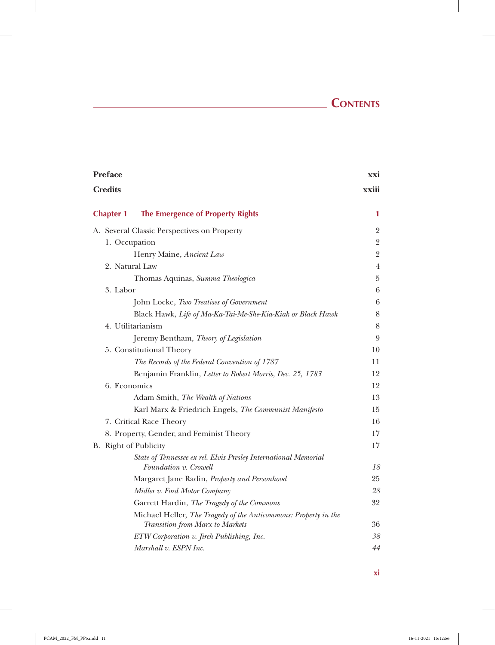## **Contents**

 $\overline{\phantom{a}}$ 

| <b>Preface</b>        |                                                                                                    | xxi            |
|-----------------------|----------------------------------------------------------------------------------------------------|----------------|
| <b>Credits</b>        |                                                                                                    | xxiii          |
| <b>Chapter 1</b>      | <b>The Emergence of Property Rights</b>                                                            | 1              |
|                       | A. Several Classic Perspectives on Property                                                        | $\overline{2}$ |
| 1. Occupation         |                                                                                                    | $\sqrt{2}$     |
|                       | Henry Maine, Ancient Law                                                                           | $\overline{2}$ |
| 2. Natural Law        |                                                                                                    | $\overline{4}$ |
|                       | Thomas Aquinas, Summa Theologica                                                                   | $\bf 5$        |
| 3. Labor              |                                                                                                    | 6              |
|                       | John Locke, Two Treatises of Government                                                            | $\,6\,$        |
|                       | Black Hawk, Life of Ma-Ka-Tai-Me-She-Kia-Kiak or Black Hawk                                        | 8              |
|                       | 4. Utilitarianism                                                                                  | 8              |
|                       | Jeremy Bentham, Theory of Legislation                                                              | 9              |
|                       | 5. Constitutional Theory                                                                           | 10             |
|                       | The Records of the Federal Convention of 1787                                                      | 11             |
|                       | Benjamin Franklin, Letter to Robert Morris, Dec. 25, 1783                                          | 12             |
| 6. Economics          |                                                                                                    | 12             |
|                       | Adam Smith, The Wealth of Nations                                                                  | 13             |
|                       | Karl Marx & Friedrich Engels, The Communist Manifesto                                              | 15             |
|                       | 7. Critical Race Theory                                                                            | 16             |
|                       | 8. Property, Gender, and Feminist Theory                                                           | 17             |
| B. Right of Publicity |                                                                                                    | 17             |
|                       | State of Tennessee ex rel. Elvis Presley International Memorial                                    |                |
|                       | Foundation v. Crowell                                                                              | 18             |
|                       | Margaret Jane Radin, Property and Personhood                                                       | 25             |
|                       | Midler v. Ford Motor Company                                                                       | 28             |
|                       | Garrett Hardin, The Tragedy of the Commons                                                         | 32             |
|                       | Michael Heller, The Tragedy of the Anticommons: Property in the<br>Transition from Marx to Markets | 36             |
|                       | ETW Corporation v. Jireh Publishing, Inc.                                                          | 38             |
|                       | Marshall v. ESPN Inc.                                                                              | 44             |
|                       |                                                                                                    |                |

 $\mathbb{I}$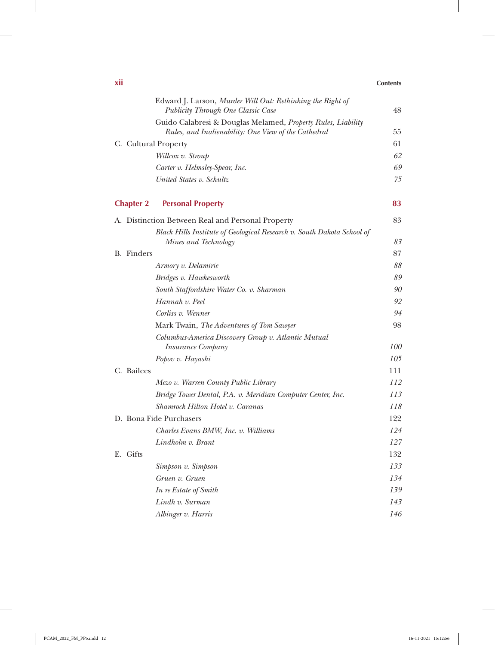| XII                  |                                                                                                  | <b>Contents</b> |
|----------------------|--------------------------------------------------------------------------------------------------|-----------------|
|                      | Edward J. Larson, Murder Will Out: Rethinking the Right of<br>Publicity Through One Classic Case | 48              |
|                      | Guido Calabresi & Douglas Melamed, Property Rules, Liability                                     |                 |
|                      | Rules, and Inalienability: One View of the Cathedral                                             | 55              |
| C. Cultural Property |                                                                                                  | 61              |
|                      | Willcox v. Stroup                                                                                | 62              |
|                      | Carter v. Helmsley-Spear, Inc.                                                                   | 69              |
|                      | United States v. Schultz                                                                         | 75              |
| <b>Chapter 2</b>     | <b>Personal Property</b>                                                                         | 83              |
|                      | A. Distinction Between Real and Personal Property                                                | 83              |
|                      | Black Hills Institute of Geological Research v. South Dakota School of                           |                 |
|                      | Mines and Technology                                                                             | 83              |
| <b>B.</b> Finders    |                                                                                                  | 87              |
|                      | Armory v. Delamirie                                                                              | 88              |
|                      | Bridges v. Hawkesworth                                                                           | 89              |
|                      | South Staffordshire Water Co. v. Sharman                                                         | 90              |
|                      | Hannah v. Peel                                                                                   | 92              |
|                      | Corliss v. Wenner                                                                                | 94              |
|                      | Mark Twain, The Adventures of Tom Sawyer                                                         | 98              |
|                      | Columbus-America Discovery Group v. Atlantic Mutual<br><b>Insurance Company</b>                  | 100             |
|                      | Popov v. Hayashi                                                                                 | 105             |
| C. Bailees           |                                                                                                  | 111             |
|                      | Mezo v. Warren County Public Library                                                             | 112             |
|                      | Bridge Tower Dental, P.A. v. Meridian Computer Center, Inc.                                      | 113             |
|                      | Shamrock Hilton Hotel v. Caranas                                                                 | 118             |
|                      | D. Bona Fide Purchasers                                                                          | 122             |
|                      | Charles Evans BMW, Inc. v. Williams                                                              | 124             |
|                      | Lindholm v. Brant                                                                                | 127             |
| E. Gifts             |                                                                                                  | 132             |
|                      | Simpson v. Simpson                                                                               | 133             |
|                      | Gruen v. Gruen                                                                                   | 134             |
|                      | In re Estate of Smith                                                                            | 139             |
|                      | Lindh v. Surman                                                                                  | 143             |
|                      | Albinger v. Harris                                                                               | 146             |

 $\overline{\phantom{a}}$ 

 $\overline{\phantom{a}}$ 

 $\mathbb{I}$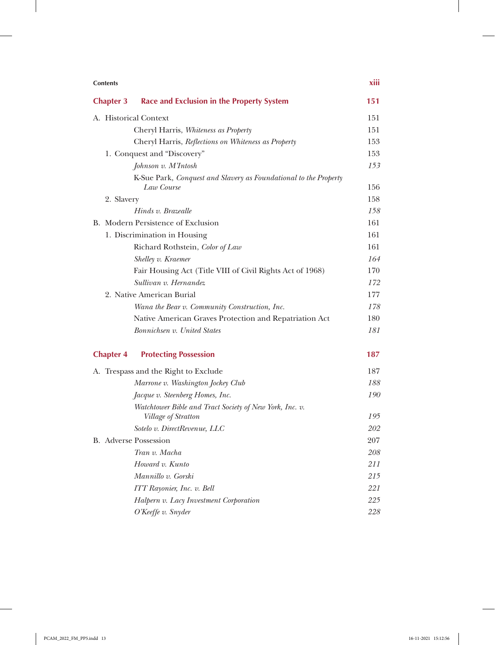| <b>Contents</b>       |                                                                                | XIII |
|-----------------------|--------------------------------------------------------------------------------|------|
| <b>Chapter 3</b>      | <b>Race and Exclusion in the Property System</b>                               | 151  |
| A. Historical Context |                                                                                | 151  |
|                       | Cheryl Harris, Whiteness as Property                                           | 151  |
|                       | Cheryl Harris, Reflections on Whiteness as Property                            | 153  |
|                       | 1. Conquest and "Discovery"                                                    | 153  |
|                       | Johnson v. M'Intosh                                                            | 153  |
|                       | K-Sue Park, Conquest and Slavery as Foundational to the Property<br>Law Course | 156  |
| 2. Slavery            |                                                                                | 158  |
|                       | Hinds v. Brazealle                                                             | 158  |
|                       | B. Modern Persistence of Exclusion                                             | 161  |
|                       | 1. Discrimination in Housing                                                   | 161  |
|                       | Richard Rothstein, Color of Law                                                | 161  |
|                       | Shelley v. Kraemer                                                             | 164  |
|                       | Fair Housing Act (Title VIII of Civil Rights Act of 1968)                      | 170  |
|                       | Sullivan v. Hernandez                                                          | 172  |
|                       | 2. Native American Burial                                                      | 177  |
|                       | Wana the Bear v. Community Construction, Inc.                                  | 178  |
|                       | Native American Graves Protection and Repatriation Act                         | 180  |
|                       | Bonnichsen v. United States                                                    | 181  |
| <b>Chapter 4</b>      | <b>Protecting Possession</b>                                                   | 187  |
|                       | A. Trespass and the Right to Exclude                                           | 187  |
|                       | Marrone v. Washington Jockey Club                                              | 188  |
|                       | Jacque v. Steenberg Homes, Inc.                                                | 190  |
|                       | Watchtower Bible and Tract Society of New York, Inc. v.                        |      |
|                       | Village of Stratton                                                            | 195  |
|                       | Sotelo v. DirectRevenue, LLC                                                   | 202  |
|                       | <b>B.</b> Adverse Possession                                                   | 207  |
|                       | Tran v. Macha                                                                  | 208  |
|                       | Howard v. Kunto                                                                | 211  |
|                       | Mannillo v. Gorski                                                             | 215  |
|                       | ITT Rayonier, Inc. v. Bell                                                     | 221  |
|                       | Halpern v. Lacy Investment Corporation                                         | 225  |
|                       | O'Keeffe v. Snyder                                                             | 228  |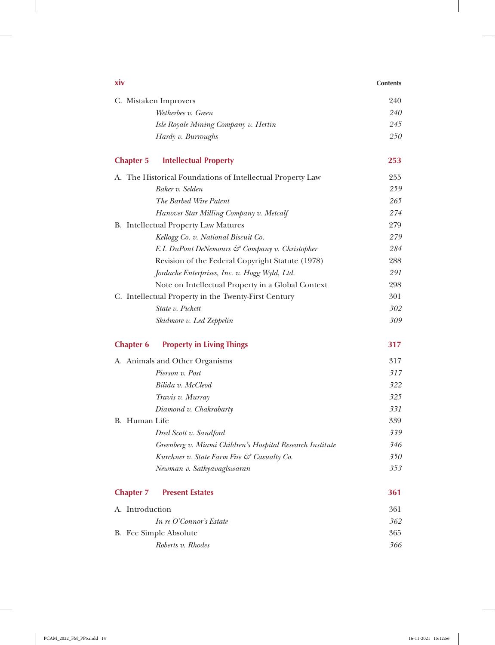| <b>XIV</b>                                                 | <b>Contents</b> |
|------------------------------------------------------------|-----------------|
| C. Mistaken Improvers                                      | 240             |
| Wetherbee v. Green                                         | 240             |
| Isle Royale Mining Company v. Hertin                       | 245             |
| Hardy v. Burroughs                                         | 250             |
| <b>Intellectual Property</b><br><b>Chapter 5</b>           | 253             |
| A. The Historical Foundations of Intellectual Property Law | 255             |
| Baker v. Selden                                            | 259             |
| The Barbed Wire Patent                                     | 265             |
| Hanover Star Milling Company v. Metcalf                    | 274             |
| <b>B.</b> Intellectual Property Law Matures                | 279             |
| Kellogg Co. v. National Biscuit Co.                        | 279             |
| E.I. DuPont DeNemours & Company v. Christopher             | 284             |
| Revision of the Federal Copyright Statute (1978)           | 288             |
| Jordache Enterprises, Inc. v. Hogg Wyld, Ltd.              | 291             |
| Note on Intellectual Property in a Global Context          | 298             |
| C. Intellectual Property in the Twenty-First Century       | 301             |
| State v. Pickett                                           | 302             |
| Skidmore v. Led Zeppelin                                   | 309             |
| <b>Property in Living Things</b><br><b>Chapter 6</b>       | 317             |
| A. Animals and Other Organisms                             | 317             |
| Pierson v. Post                                            | 317             |
| Bilida v. McCleod                                          | 322             |
| Travis v. Murray                                           | 325             |
| Diamond v. Chakrabarty                                     | 331             |
| B. Human Life                                              | 339             |
| Dred Scott v. Sandford                                     | 339             |
| Greenberg v. Miami Children's Hospital Research Institute  | 346             |
| Kurchner v. State Farm Fire & Casualty Co.                 | 350             |
| Newman v. Sathyavaglswaran                                 | 353             |
| <b>Chapter 7</b><br><b>Present Estates</b>                 | 361             |
| A. Introduction                                            | 361             |
| In re O'Connor's Estate                                    | 362             |
| B. Fee Simple Absolute                                     | 365             |
| Roberts v. Rhodes                                          | 366             |

 $\overline{\phantom{a}}$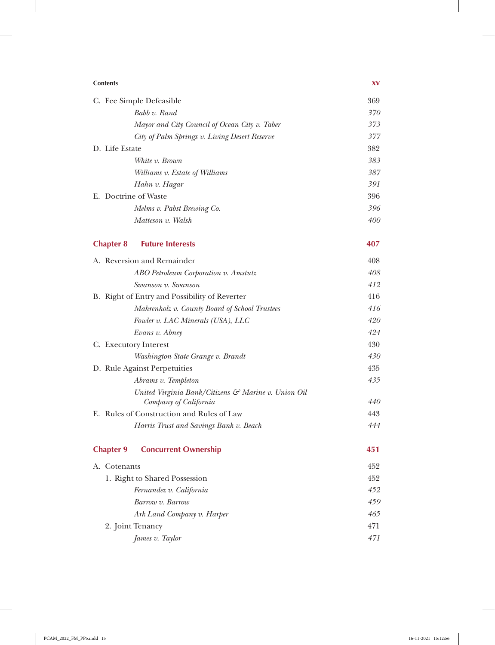| <b>Contents</b>                                                              | XV  |
|------------------------------------------------------------------------------|-----|
| C. Fee Simple Defeasible                                                     | 369 |
| Babb v. Rand                                                                 | 370 |
| Mayor and City Council of Ocean City v. Taber                                | 373 |
| City of Palm Springs v. Living Desert Reserve                                | 377 |
| D. Life Estate                                                               | 382 |
| White v. Brown                                                               | 383 |
| Williams v. Estate of Williams                                               | 387 |
| Hahn v. Hagar                                                                | 391 |
| E. Doctrine of Waste                                                         | 396 |
| Melms v. Pabst Brewing Co.                                                   | 396 |
| Matteson v. Walsh                                                            | 400 |
| <b>Chapter 8</b><br><b>Future Interests</b>                                  | 407 |
| A. Reversion and Remainder                                                   | 408 |
| ABO Petroleum Corporation v. Amstutz                                         | 408 |
| Swanson v. Swanson                                                           | 412 |
| B. Right of Entry and Possibility of Reverter                                | 416 |
| Mahrenholz v. County Board of School Trustees                                | 416 |
| Fowler v. LAC Minerals (USA), LLC                                            | 420 |
| Evans v. Abney                                                               | 424 |
| C. Executory Interest                                                        | 430 |
| Washington State Grange v. Brandt                                            | 430 |
| D. Rule Against Perpetuities                                                 | 435 |
| Abrams v. Templeton                                                          | 435 |
| United Virginia Bank/Citizens & Marine v. Union Oil<br>Company of California | 440 |
| E. Rules of Construction and Rules of Law                                    | 443 |
| Harris Trust and Savings Bank v. Beach                                       | 444 |
|                                                                              |     |
| <b>Chapter 9</b><br><b>Concurrent Ownership</b>                              | 451 |
| A. Cotenants                                                                 | 452 |
| 452<br>1. Right to Shared Possession                                         |     |
| Fernandez v. California                                                      | 452 |
| Barrow v. Barrow                                                             | 459 |
| Ark Land Company v. Harper                                                   | 465 |
| 2. Joint Tenancy                                                             | 471 |
| James v. Taylor                                                              | 471 |

 $\overline{\phantom{a}}$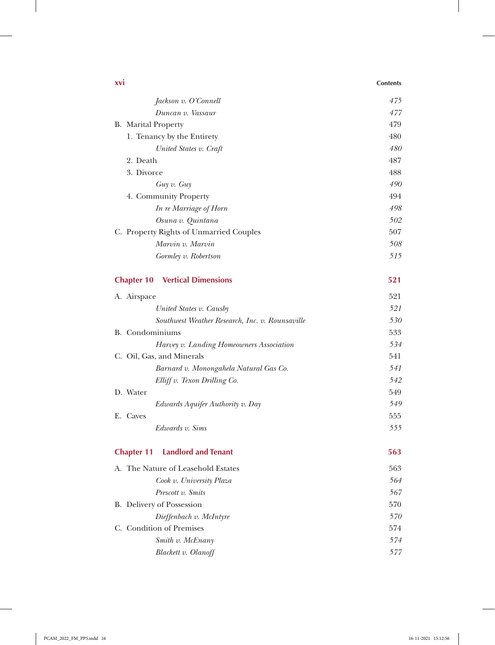| <b>XVI</b>                                      | <b>Contents</b> |
|-------------------------------------------------|-----------------|
| Jackson v. O'Connell                            | 475             |
| Duncan v. Vassaur                               | 477             |
| <b>B.</b> Marital Property                      | 479             |
| 1. Tenancy by the Entirety                      | 480             |
| United States v. Craft                          | 480             |
| 2. Death                                        | 487             |
| 3. Divorce                                      | 488             |
| Guy v. Guy                                      | 490             |
| 4. Community Property                           | 494             |
| In re Marriage of Horn                          | 498             |
| Osuna v. Quintana                               | 502             |
| C. Property Rights of Unmarried Couples         | 507             |
| Marvin v. Marvin                                | 508             |
| Gormley v. Robertson                            | 515             |
| <b>Vertical Dimensions</b><br><b>Chapter 10</b> | 521             |
| A. Airspace                                     | 521             |
| United States v. Causby                         | 521             |
| Southwest Weather Research, Inc. v. Rounsaville | 530             |
| B. Condominiums                                 | 533             |
| Harvey v. Landing Homeowners Association        | 534             |
| C. Oil, Gas, and Minerals                       | 541             |
| Barnard v. Monongahela Natural Gas Co.          | 541             |
| Elliff v. Texon Drilling Co.                    | 542             |
| D. Water                                        | 549             |
| Edwards Aquifer Authority v. Day                | 549             |
| E. Caves                                        | 555             |
| Edwards v. Sims                                 | 555             |
| <b>Chapter 11</b><br><b>Landlord and Tenant</b> | 563             |
| A. The Nature of Leasehold Estates              | 563             |
| Cook v. University Plaza                        | 564             |
| Prescott v. Smits                               | 567             |
| B. Delivery of Possession                       | 570             |
| Dieffenbach v. McIntyre                         | 570             |
| C. Condition of Premises                        | 574             |
| Smith v. McEnany                                | 574             |
| Blackett v. Olanoff                             | 577             |

 $\overline{\phantom{a}}$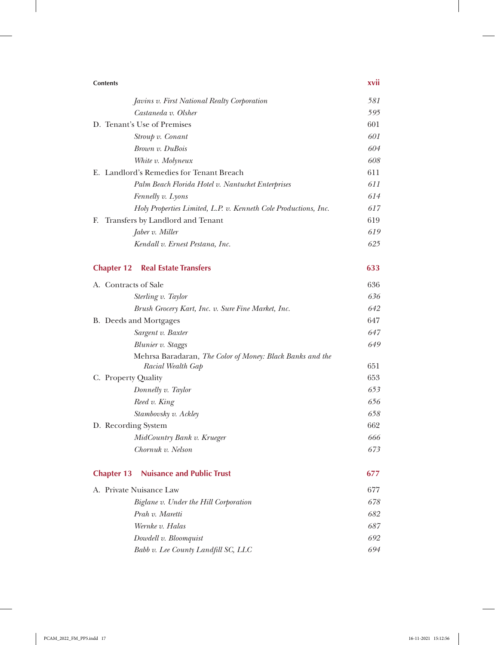| <b>Contents</b>                                                                | xvii |
|--------------------------------------------------------------------------------|------|
| Javins v. First National Realty Corporation                                    | 581  |
| Castaneda v. Olsher                                                            | 595  |
| D. Tenant's Use of Premises                                                    | 601  |
| Stroup v. Conant                                                               | 601  |
| Brown v. DuBois                                                                | 604  |
| White v. Molyneux                                                              | 608  |
| E. Landlord's Remedies for Tenant Breach                                       | 611  |
| Palm Beach Florida Hotel v. Nantucket Enterprises                              | 611  |
| Fennelly v. Lyons                                                              | 614  |
| Holy Properties Limited, L.P. v. Kenneth Cole Productions, Inc.                | 617  |
| Transfers by Landlord and Tenant<br>Е.                                         | 619  |
| Jaber v. Miller                                                                | 619  |
| Kendall v. Ernest Pestana, Inc.                                                | 625  |
| <b>Chapter 12</b><br><b>Real Estate Transfers</b>                              | 633  |
| A. Contracts of Sale                                                           | 636  |
| Sterling v. Taylor                                                             | 636  |
| Brush Grocery Kart, Inc. v. Sure Fine Market, Inc.                             | 642  |
| B. Deeds and Mortgages                                                         | 647  |
| Sargent v. Baxter                                                              | 647  |
| Blunier v. Staggs                                                              | 649  |
| Mehrsa Baradaran, The Color of Money: Black Banks and the<br>Racial Wealth Gap | 651  |
| C. Property Quality                                                            | 653  |
| Donnelly v. Taylor                                                             | 653  |
| Reed v. King                                                                   | 656  |
| Stambovsky v. Ackley                                                           | 658  |
| D. Recording System                                                            | 662  |
| MidCountry Bank v. Krueger                                                     | 666  |
| Chornuk v. Nelson                                                              | 673  |
| <b>Nuisance and Public Trust</b><br><b>Chapter 13</b>                          | 677  |
| A. Private Nuisance Law                                                        | 677  |
| Biglane v. Under the Hill Corporation                                          | 678  |
| Prah v. Maretti                                                                | 682  |
| Wernke v. Halas                                                                | 687  |
| Dowdell v. Bloomquist                                                          | 692  |
| Babb v. Lee County Landfill SC, LLC                                            | 694  |

 $\overline{\phantom{a}}$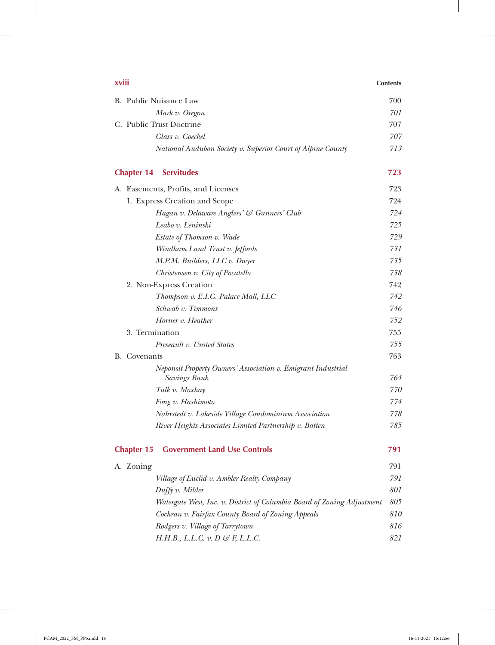| xviii                                                                        | <b>Contents</b> |
|------------------------------------------------------------------------------|-----------------|
| B. Public Nuisance Law                                                       | 700             |
| Mark v. Oregon                                                               | 701             |
| C. Public Trust Doctrine                                                     | 707             |
| Glass v. Goeckel                                                             | 707             |
| National Audubon Society v. Superior Court of Alpine County                  | 713             |
| <b>Chapter 14</b><br><b>Servitudes</b>                                       | 723             |
| A. Easements, Profits, and Licenses                                          | 723             |
| 1. Express Creation and Scope                                                | 724             |
| Hagan v. Delaware Anglers' & Gunners' Club                                   | 724             |
| Leabo v. Leninski                                                            | 725             |
| Estate of Thomson v. Wade                                                    | 729             |
| Windham Land Trust v. Jeffords                                               | 731             |
| M.P.M. Builders, LLC v. Dwyer                                                | 735             |
| Christensen v. City of Pocatello                                             | 738             |
| 2. Non-Express Creation                                                      | 742             |
| Thompson v. E.I.G. Palace Mall, LLC                                          | 742             |
| Schwab v. Timmons                                                            | 746             |
| Horner v. Heather                                                            | 752             |
| 3. Termination                                                               | 755             |
| Preseault v. United States                                                   | 755             |
| <b>B.</b> Covenants                                                          | 763             |
| Neponsit Property Owners' Association v. Emigrant Industrial<br>Savings Bank | 764             |
| Tulk v. Moxhay                                                               | 770             |
| Fong v. Hashimoto                                                            | 774             |
| Nahrstedt v. Lakeside Village Condominium Association                        | 778             |
| River Heights Associates Limited Partnership v. Batten                       | 785             |
| <b>Chapter 15</b><br><b>Government Land Use Controls</b>                     | 791             |
| A. Zoning                                                                    | 791             |
| Village of Euclid v. Ambler Realty Company                                   | 791             |
| Duffy v. Milder                                                              | 801             |
| Watergate West, Inc. v. District of Columbia Board of Zoning Adjustment      | 805             |
| Cochran v. Fairfax County Board of Zoning Appeals                            | 810             |
| Rodgers v. Village of Tarrytown                                              | 816             |
| $H.H.B., L.L.C. v. D \mathcal{G} F, L.L.C.$                                  | 821             |
|                                                                              |                 |

 $\overline{\phantom{a}}$